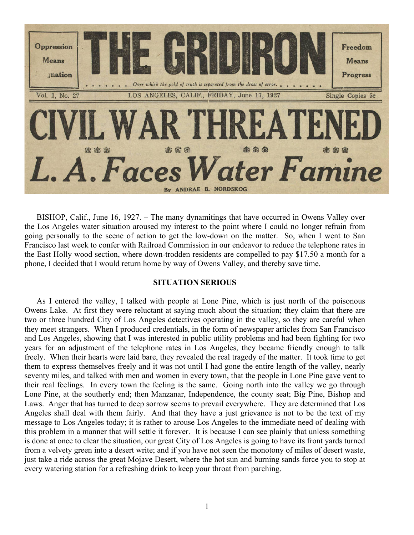

BISHOP, Calif., June 16, 1927. – The many dynamitings that have occurred in Owens Valley over the Los Angeles water situation aroused my interest to the point where I could no longer refrain from going personally to the scene of action to get the low-down on the matter. So, when I went to San Francisco last week to confer with Railroad Commission in our endeavor to reduce the telephone rates in the East Holly wood section, where down-trodden residents are compelled to pay \$17.50 a month for a phone, I decided that I would return home by way of Owens Valley, and thereby save time.

## **SITUATION SERIOUS**

As I entered the valley, I talked with people at Lone Pine, which is just north of the poisonous Owens Lake. At first they were reluctant at saying much about the situation; they claim that there are two or three hundred City of Los Angeles detectives operating in the valley, so they are careful when they meet strangers. When I produced credentials, in the form of newspaper articles from San Francisco and Los Angeles, showing that I was interested in public utility problems and had been fighting for two years for an adjustment of the telephone rates in Los Angeles, they became friendly enough to talk freely. When their hearts were laid bare, they revealed the real tragedy of the matter. It took time to get them to express themselves freely and it was not until I had gone the entire length of the valley, nearly seventy miles, and talked with men and women in every town, that the people in Lone Pine gave vent to their real feelings. In every town the feeling is the same. Going north into the valley we go through Lone Pine, at the southerly end; then Manzanar, Independence, the county seat; Big Pine, Bishop and Laws. Anger that has turned to deep sorrow seems to prevail everywhere. They are determined that Los Angeles shall deal with them fairly. And that they have a just grievance is not to be the text of my message to Los Angeles today; it is rather to arouse Los Angeles to the immediate need of dealing with this problem in a manner that will settle it forever. It is because I can see plainly that unless something is done at once to clear the situation, our great City of Los Angeles is going to have its front yards turned from a velvety green into a desert write; and if you have not seen the monotony of miles of desert waste, just take a ride across the great Mojave Desert, where the hot sun and burning sands force you to stop at every watering station for a refreshing drink to keep your throat from parching.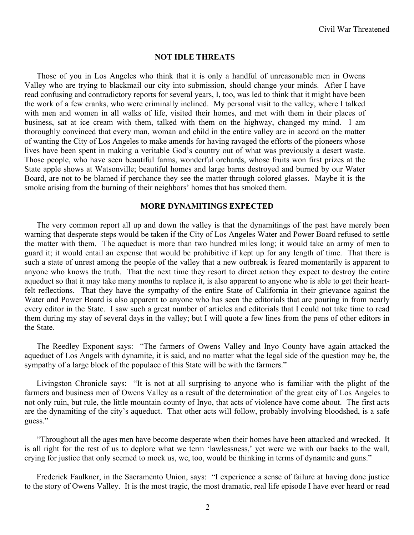#### **NOT IDLE THREATS**

Those of you in Los Angeles who think that it is only a handful of unreasonable men in Owens Valley who are trying to blackmail our city into submission, should change your minds. After I have read confusing and contradictory reports for several years, I, too, was led to think that it might have been the work of a few cranks, who were criminally inclined. My personal visit to the valley, where I talked with men and women in all walks of life, visited their homes, and met with them in their places of business, sat at ice cream with them, talked with them on the highway, changed my mind. I am thoroughly convinced that every man, woman and child in the entire valley are in accord on the matter of wanting the City of Los Angeles to make amends for having ravaged the efforts of the pioneers whose lives have been spent in making a veritable God's country out of what was previously a desert waste. Those people, who have seen beautiful farms, wonderful orchards, whose fruits won first prizes at the State apple shows at Watsonville; beautiful homes and large barns destroyed and burned by our Water Board, are not to be blamed if perchance they see the matter through colored glasses. Maybe it is the smoke arising from the burning of their neighbors' homes that has smoked them.

#### **MORE DYNAMITINGS EXPECTED**

The very common report all up and down the valley is that the dynamitings of the past have merely been warning that desperate steps would be taken if the City of Los Angeles Water and Power Board refused to settle the matter with them. The aqueduct is more than two hundred miles long; it would take an army of men to guard it; it would entail an expense that would be prohibitive if kept up for any length of time. That there is such a state of unrest among the people of the valley that a new outbreak is feared momentarily is apparent to anyone who knows the truth. That the next time they resort to direct action they expect to destroy the entire aqueduct so that it may take many months to replace it, is also apparent to anyone who is able to get their heartfelt reflections. That they have the sympathy of the entire State of California in their grievance against the Water and Power Board is also apparent to anyone who has seen the editorials that are pouring in from nearly every editor in the State. I saw such a great number of articles and editorials that I could not take time to read them during my stay of several days in the valley; but I will quote a few lines from the pens of other editors in the State.

The Reedley Exponent says: "The farmers of Owens Valley and Inyo County have again attacked the aqueduct of Los Angels with dynamite, it is said, and no matter what the legal side of the question may be, the sympathy of a large block of the populace of this State will be with the farmers."

Livingston Chronicle says: "It is not at all surprising to anyone who is familiar with the plight of the farmers and business men of Owens Valley as a result of the determination of the great city of Los Angeles to not only ruin, but rule, the little mountain county of Inyo, that acts of violence have come about. The first acts are the dynamiting of the city's aqueduct. That other acts will follow, probably involving bloodshed, is a safe guess."

"Throughout all the ages men have become desperate when their homes have been attacked and wrecked. It is all right for the rest of us to deplore what we term 'lawlessness,' yet were we with our backs to the wall, crying for justice that only seemed to mock us, we, too, would be thinking in terms of dynamite and guns."

Frederick Faulkner, in the Sacramento Union, says: "I experience a sense of failure at having done justice to the story of Owens Valley. It is the most tragic, the most dramatic, real life episode I have ever heard or read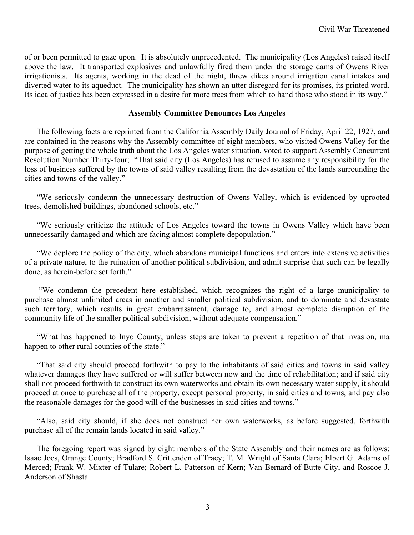of or been permitted to gaze upon. It is absolutely unprecedented. The municipality (Los Angeles) raised itself above the law. It transported explosives and unlawfully fired them under the storage dams of Owens River irrigationists. Its agents, working in the dead of the night, threw dikes around irrigation canal intakes and diverted water to its aqueduct. The municipality has shown an utter disregard for its promises, its printed word. Its idea of justice has been expressed in a desire for more trees from which to hand those who stood in its way."

### **Assembly Committee Denounces Los Angeles**

The following facts are reprinted from the California Assembly Daily Journal of Friday, April 22, 1927, and are contained in the reasons why the Assembly committee of eight members, who visited Owens Valley for the purpose of getting the whole truth about the Los Angeles water situation, voted to support Assembly Concurrent Resolution Number Thirty-four; "That said city (Los Angeles) has refused to assume any responsibility for the loss of business suffered by the towns of said valley resulting from the devastation of the lands surrounding the cities and towns of the valley."

"We seriously condemn the unnecessary destruction of Owens Valley, which is evidenced by uprooted trees, demolished buildings, abandoned schools, etc."

"We seriously criticize the attitude of Los Angeles toward the towns in Owens Valley which have been unnecessarily damaged and which are facing almost complete depopulation."

"We deplore the policy of the city, which abandons municipal functions and enters into extensive activities of a private nature, to the ruination of another political subdivision, and admit surprise that such can be legally done, as herein-before set forth."

"We condemn the precedent here established, which recognizes the right of a large municipality to purchase almost unlimited areas in another and smaller political subdivision, and to dominate and devastate such territory, which results in great embarrassment, damage to, and almost complete disruption of the community life of the smaller political subdivision, without adequate compensation."

"What has happened to Inyo County, unless steps are taken to prevent a repetition of that invasion, ma happen to other rural counties of the state."

"That said city should proceed forthwith to pay to the inhabitants of said cities and towns in said valley whatever damages they have suffered or will suffer between now and the time of rehabilitation; and if said city shall not proceed forthwith to construct its own waterworks and obtain its own necessary water supply, it should proceed at once to purchase all of the property, except personal property, in said cities and towns, and pay also the reasonable damages for the good will of the businesses in said cities and towns."

"Also, said city should, if she does not construct her own waterworks, as before suggested, forthwith purchase all of the remain lands located in said valley."

The foregoing report was signed by eight members of the State Assembly and their names are as follows: Isaac Joes, Orange County; Bradford S. Crittenden of Tracy; T. M. Wright of Santa Clara; Elbert G. Adams of Merced; Frank W. Mixter of Tulare; Robert L. Patterson of Kern; Van Bernard of Butte City, and Roscoe J. Anderson of Shasta.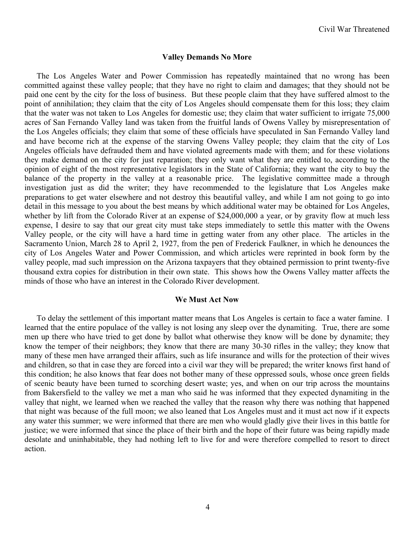#### **Valley Demands No More**

The Los Angeles Water and Power Commission has repeatedly maintained that no wrong has been committed against these valley people; that they have no right to claim and damages; that they should not be paid one cent by the city for the loss of business. But these people claim that they have suffered almost to the point of annihilation; they claim that the city of Los Angeles should compensate them for this loss; they claim that the water was not taken to Los Angeles for domestic use; they claim that water sufficient to irrigate 75,000 acres of San Fernando Valley land was taken from the fruitful lands of Owens Valley by misrepresentation of the Los Angeles officials; they claim that some of these officials have speculated in San Fernando Valley land and have become rich at the expense of the starving Owens Valley people; they claim that the city of Los Angeles officials have defrauded them and have violated agreements made with them; and for these violations they make demand on the city for just reparation; they only want what they are entitled to, according to the opinion of eight of the most representative legislators in the State of California; they want the city to buy the balance of the property in the valley at a reasonable price. The legislative committee made a through investigation just as did the writer; they have recommended to the legislature that Los Angeles make preparations to get water elsewhere and not destroy this beautiful valley, and while I am not going to go into detail in this message to you about the best means by which additional water may be obtained for Los Angeles, whether by lift from the Colorado River at an expense of \$24,000,000 a year, or by gravity flow at much less expense, I desire to say that our great city must take steps immediately to settle this matter with the Owens Valley people, or the city will have a hard time in getting water from any other place. The articles in the Sacramento Union, March 28 to April 2, 1927, from the pen of Frederick Faulkner, in which he denounces the city of Los Angeles Water and Power Commission, and which articles were reprinted in book form by the valley people, mad such impression on the Arizona taxpayers that they obtained permission to print twenty-five thousand extra copies for distribution in their own state. This shows how the Owens Valley matter affects the minds of those who have an interest in the Colorado River development.

#### **We Must Act Now**

To delay the settlement of this important matter means that Los Angeles is certain to face a water famine. I learned that the entire populace of the valley is not losing any sleep over the dynamiting. True, there are some men up there who have tried to get done by ballot what otherwise they know will be done by dynamite; they know the temper of their neighbors; they know that there are many 30-30 rifles in the valley; they know that many of these men have arranged their affairs, such as life insurance and wills for the protection of their wives and children, so that in case they are forced into a civil war they will be prepared; the writer knows first hand of this condition; he also knows that fear does not bother many of these oppressed souls, whose once green fields of scenic beauty have been turned to scorching desert waste; yes, and when on our trip across the mountains from Bakersfield to the valley we met a man who said he was informed that they expected dynamiting in the valley that night, we learned when we reached the valley that the reason why there was nothing that happened that night was because of the full moon; we also leaned that Los Angeles must and it must act now if it expects any water this summer; we were informed that there are men who would gladly give their lives in this battle for justice; we were informed that since the place of their birth and the hope of their future was being rapidly made desolate and uninhabitable, they had nothing left to live for and were therefore compelled to resort to direct action.